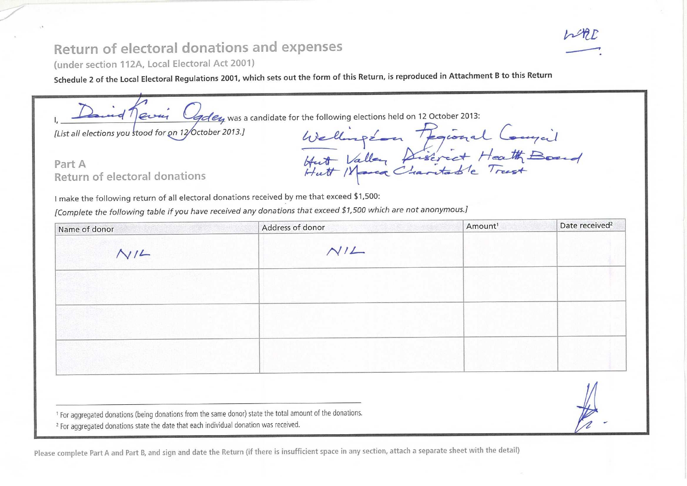# **Return of electoral donations and expenses**



,

(under section 112A, Local Electoral Act 2001)

Schedule 2 of the Local Electoral Regulations 2001, which sets out the form of this Return, is reproduced in Attachment B to this Return  $\frac{1}{2}$ <br>If is all elections veu tool for on 12/0 ctober 2013 is the following elec *4)€.......,eL...",* **— ct—t—** *Cgs•— -,-.7* **1** *[List all elections you tood for Qn yOctober 2013.]*  **Part A Return of electoral donations**  *66,,ift—* 

I make the following return of all electoral donations received by me that exceed \$1,500:

*[Complete the following table if you have received any donations that exceed \$1,500 which are not anonymous.]* 

| Name of donor | Address of donor | Amount <sup>1</sup> | Date received <sup>2</sup> |
|---------------|------------------|---------------------|----------------------------|
| N/L           | N/L              |                     |                            |
|               |                  |                     |                            |
|               |                  |                     |                            |
|               |                  |                     |                            |
|               |                  |                     |                            |
|               |                  |                     |                            |

<sup>1</sup> For aggregated donations (being donations from the same donor) state the total amount of the donations.

<sup>2</sup> For aggregated donations state the date that each individual donation was received.

Please complete Part A and Part B, and sign and date the Return (if there is insufficient space in any section, attach a separate sheet with the detail)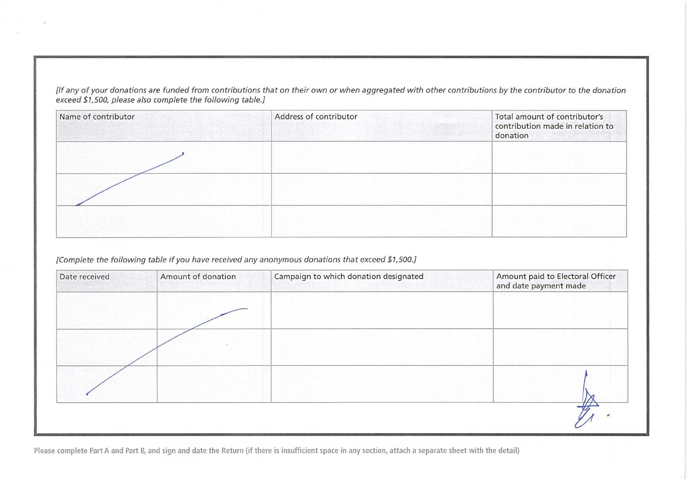*[If any of your donations are funded from contributions that on their own or when aggregated with other contributions by the contributor to the donation exceed \$1,500, please also complete the following table.]* 

| Name of contributor | Address of contributor | Total amount of contributor's<br>contribution made in relation to<br>donation |
|---------------------|------------------------|-------------------------------------------------------------------------------|
|                     |                        |                                                                               |
|                     |                        |                                                                               |
|                     |                        |                                                                               |

#### *[Complete the following table if you have received any anonymous donations that exceed \$1,500.]*

| Date received | Amount of donation | Campaign to which donation designated | Amount paid to Electoral Officer<br>and date payment made |
|---------------|--------------------|---------------------------------------|-----------------------------------------------------------|
|               |                    |                                       |                                                           |
|               |                    |                                       |                                                           |
|               |                    |                                       |                                                           |
|               |                    |                                       |                                                           |

Please complete Part A and Part B, and sign and date the Return (if there is insufficient space in any section, attach a separate sheet with the detail)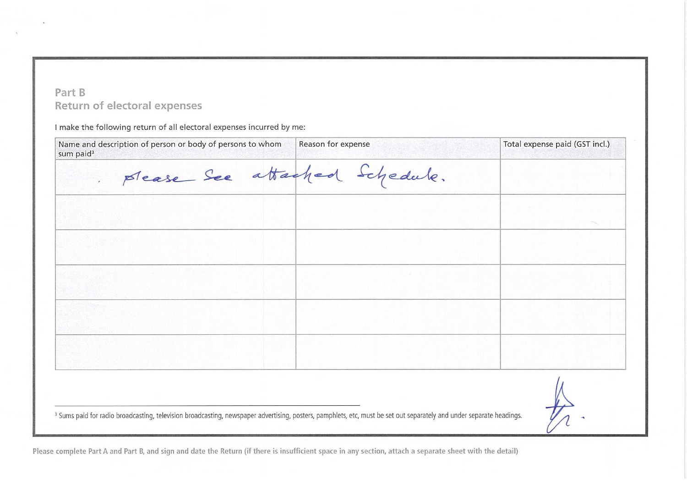# **Part B Return of electoral expenses**

I make the following return of all electoral expenses incurred by me:

| Reason for expense | Total expense paid (GST incl.) |
|--------------------|--------------------------------|
|                    |                                |
|                    |                                |
|                    |                                |
|                    |                                |
|                    |                                |
|                    |                                |
|                    |                                |
|                    |                                |
|                    | please See attached Schedule.  |

Please complete Part A and Part B, and sign and date the Return (if there is insufficient space in any section, attach a separate sheet with the detail)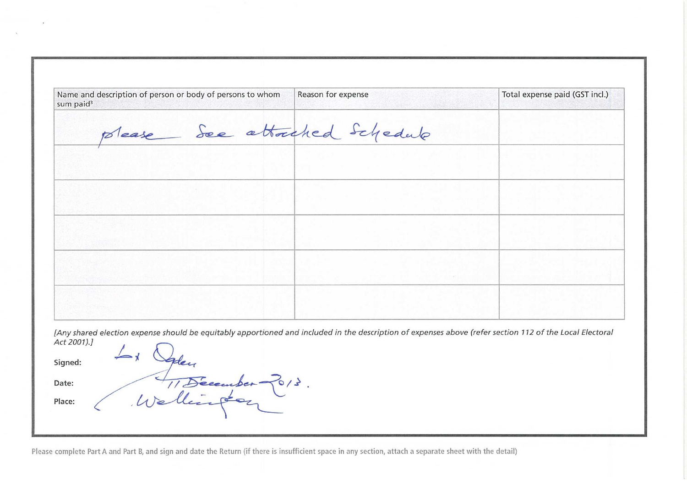| Name and description of person or body of persons to whom<br>sum paid <sup>3</sup> | Reason for expense | Total expense paid (GST incl.) |
|------------------------------------------------------------------------------------|--------------------|--------------------------------|
| please See attached Schedule                                                       |                    |                                |
|                                                                                    |                    |                                |
|                                                                                    |                    |                                |
|                                                                                    |                    |                                |
|                                                                                    |                    |                                |
|                                                                                    |                    |                                |
|                                                                                    |                    |                                |

*[Any shared election expense should be equitably apportioned and <i><u><i>Act 2001).*<br> *<i>i***</del>, <b>***/*<sub>21</sub></sup></u> *included in the description of expenses above (refer section 112 of the Local Electoral* 

Signed:

**v.4=1.** 

11 Décember

Date:

Place:

Please complete Part A and Part B, and sign and date the Return (if there is insufficient space in any section, attach a separate sheet with the detail)

 $6/3$ .